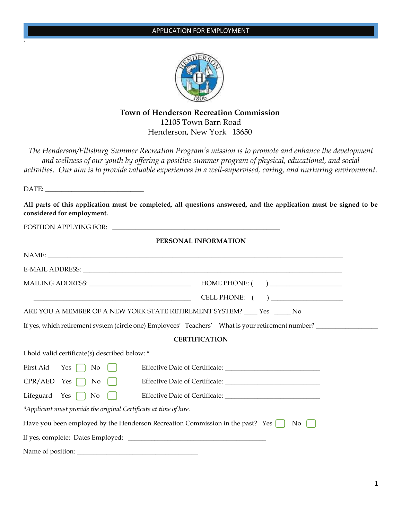

# **Town of Henderson Recreation Commission** 12105 Town Barn Road Henderson, New York 13650

*The Henderson/Ellisburg Summer Recreation Program's mission is to promote and enhance the development and wellness of our youth by offering a positive summer program of physical, educational, and social activities. Our aim is to provide valuable experiences in a well-supervised, caring, and nurturing environment.*

DATE:

|                            | All parts of this application must be completed, all questions answered, and the application must be signed to be |  |  |
|----------------------------|-------------------------------------------------------------------------------------------------------------------|--|--|
| considered for employment. |                                                                                                                   |  |  |

| <b>POSITION APPLYING FOR:</b> |  |
|-------------------------------|--|

`

## **PERSONAL INFORMATION**

| NAME: NAME AND A CONSTRUCTION OF THE CONSTRUCTION OF THE CONSTRUCTION OF THE CONSTRUCTION OF THE CONSTRUCTION OF THE CONSTRUCTION OF THE CONSTRUCTION OF THE CONSTRUCTION OF THE CONSTRUCTION OF THE CONSTRUCTION OF THE CONST |                                                                                                   |
|--------------------------------------------------------------------------------------------------------------------------------------------------------------------------------------------------------------------------------|---------------------------------------------------------------------------------------------------|
|                                                                                                                                                                                                                                |                                                                                                   |
| MAILING ADDRESS: University of the MAILING ADDRESS:                                                                                                                                                                            | HOME PHONE: ( )                                                                                   |
|                                                                                                                                                                                                                                | CELL PHONE: ( )                                                                                   |
| ARE YOU A MEMBER OF A NEW YORK STATE RETIREMENT SYSTEM? ____ Yes _____ No                                                                                                                                                      |                                                                                                   |
|                                                                                                                                                                                                                                | If yes, which retirement system (circle one) Employees' Teachers' What is your retirement number? |
|                                                                                                                                                                                                                                | <b>CERTIFICATION</b>                                                                              |
| I hold valid certificate(s) described below: *                                                                                                                                                                                 |                                                                                                   |
| First Aid Yes $\bigcap$ No $\bigcap$                                                                                                                                                                                           |                                                                                                   |
| $CPR/AED$ Yes $\bigcap$ No $\bigcap$                                                                                                                                                                                           |                                                                                                   |
| Lifeguard Yes $\bigcap$ No                                                                                                                                                                                                     |                                                                                                   |
| *Applicant must provide the original Certificate at time of hire.                                                                                                                                                              |                                                                                                   |
| Have you been employed by the Henderson Recreation Commission in the past? Yes $\Box$                                                                                                                                          | No                                                                                                |
|                                                                                                                                                                                                                                |                                                                                                   |
| Name of position:                                                                                                                                                                                                              |                                                                                                   |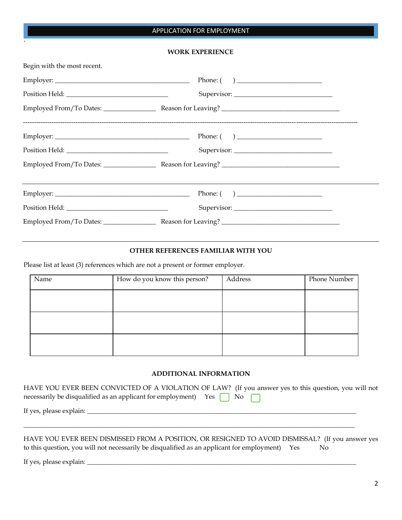## APPLICATION FOR EMPLOYMENT

#### **WORK EXPERIENCE**

| Begin with the most recent. |                                                       |
|-----------------------------|-------------------------------------------------------|
|                             | Phone: $\begin{pmatrix} 1 & 1 \\ 1 & 1 \end{pmatrix}$ |
|                             |                                                       |
|                             |                                                       |
|                             |                                                       |
|                             |                                                       |
|                             |                                                       |
|                             | Phone: $\begin{pmatrix} 1 & 1 \\ 1 & 1 \end{pmatrix}$ |
|                             |                                                       |
|                             |                                                       |

## **OTHER REFERENCES FAMILIAR WITH YOU**

Please list at least (3) references which are not a present or former employer.

| Name | How do you know this person? | Address | Phone Number |
|------|------------------------------|---------|--------------|
|      |                              |         |              |
|      |                              |         |              |
|      |                              |         |              |
|      |                              |         |              |
|      |                              |         |              |
|      |                              |         |              |

#### **ADDITIONAL INFORMATION**

| HAVE YOU EVER BEEN CONVICTED OF A VIOLATION OF LAW? (If you answer yes to this question, you will not |
|-------------------------------------------------------------------------------------------------------|
| necessarily be disqualified as an applicant for employment) Yes $\bigcap$ No $\bigcap$                |
|                                                                                                       |
|                                                                                                       |

HAVE YOU EVER BEEN DISMISSED FROM A POSITION, OR RESIGNED TO AVOID DISMISSAL? (If you answer yes to this question, you will not necessarily be disqualified as an applicant for employment) Yes No

If yes, please explain: \_\_\_\_\_\_\_\_\_\_\_\_\_\_\_\_\_\_\_\_\_\_\_\_\_\_\_\_\_\_\_\_\_\_\_\_\_\_\_\_\_\_\_\_\_\_\_\_\_\_\_\_\_\_\_\_\_\_\_\_\_\_\_\_\_\_\_\_\_\_\_\_\_\_\_\_\_\_\_\_\_\_

`